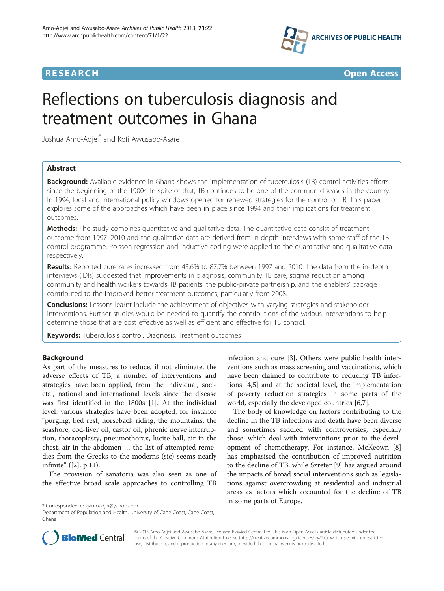



# Reflections on tuberculosis diagnosis and treatment outcomes in Ghana

Joshua Amo-Adjei\* and Kofi Awusabo-Asare

# Abstract

**Background:** Available evidence in Ghana shows the implementation of tuberculosis (TB) control activities efforts since the beginning of the 1900s. In spite of that, TB continues to be one of the common diseases in the country. In 1994, local and international policy windows opened for renewed strategies for the control of TB. This paper explores some of the approaches which have been in place since 1994 and their implications for treatment outcomes.

Methods: The study combines quantitative and qualitative data. The quantitative data consist of treatment outcome from 1997–2010 and the qualitative data are derived from in-depth interviews with some staff of the TB control programme. Poisson regression and inductive coding were applied to the quantitative and qualitative data respectively.

Results: Reported cure rates increased from 43.6% to 87.7% between 1997 and 2010. The data from the in-depth interviews (IDIs) suggested that improvements in diagnosis, community TB care, stigma reduction among community and health workers towards TB patients, the public-private partnership, and the enablers' package contributed to the improved better treatment outcomes, particularly from 2008.

**Conclusions:** Lessons learnt include the achievement of objectives with varying strategies and stakeholder interventions. Further studies would be needed to quantify the contributions of the various interventions to help determine those that are cost effective as well as efficient and effective for TB control.

Keywords: Tuberculosis control, Diagnosis, Treatment outcomes

# Background

As part of the measures to reduce, if not eliminate, the adverse effects of TB, a number of interventions and strategies have been applied, from the individual, societal, national and international levels since the disease was first identified in the 1800s [[1](#page-7-0)]. At the individual level, various strategies have been adopted, for instance "purging, bed rest, horseback riding, the mountains, the seashore, cod-liver oil, castor oil, phrenic nerve interruption, thoracoplasty, pneumothorax, lucite ball, air in the chest, air in the abdomen … the list of attempted remedies from the Greeks to the moderns (sic) seems nearly infinite" ([\[2](#page-7-0)], p.11).

The provision of sanatoria was also seen as one of the effective broad scale approaches to controlling TB

in some parts of Europe. \* Correspondence: [kjamoadjei@yahoo.com](mailto:kjamoadjei@yahoo.com)

infection and cure [\[3](#page-7-0)]. Others were public health interventions such as mass screening and vaccinations, which have been claimed to contribute to reducing TB infections [[4,5\]](#page-7-0) and at the societal level, the implementation of poverty reduction strategies in some parts of the world, especially the developed countries [[6,7\]](#page-7-0).

The body of knowledge on factors contributing to the decline in the TB infections and death have been diverse and sometimes saddled with controversies, especially those, which deal with interventions prior to the development of chemotherapy. For instance, McKeown [\[8](#page-7-0)] has emphasised the contribution of improved nutrition to the decline of TB, while Szreter [\[9](#page-7-0)] has argued around the impacts of broad social interventions such as legislations against overcrowding at residential and industrial areas as factors which accounted for the decline of TB



© 2013 Amo-Adjei and Awusabo-Asare; licensee BioMed Central Ltd. This is an Open Access article distributed under the terms of the Creative Commons Attribution License (<http://creativecommons.org/licenses/by/2.0>), which permits unrestricted use, distribution, and reproduction in any medium, provided the original work is properly cited.

Department of Population and Health, University of Cape Coast, Cape Coast, Ghana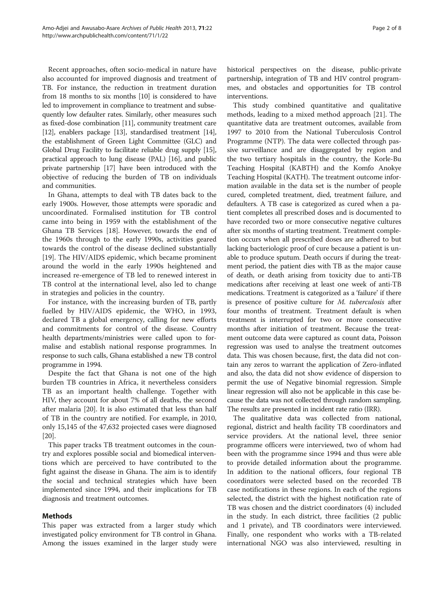Recent approaches, often socio-medical in nature have also accounted for improved diagnosis and treatment of TB. For instance, the reduction in treatment duration from 18 months to six months [[10](#page-7-0)] is considered to have led to improvement in compliance to treatment and subsequently low defaulter rates. Similarly, other measures such as fixed-dose combination [[11](#page-7-0)], community treatment care [[12](#page-7-0)], enablers package [[13](#page-7-0)], standardised treatment [[14](#page-7-0)], the establishment of Green Light Committee (GLC) and Global Drug Facility to facilitate reliable drug supply [[15](#page-7-0)], practical approach to lung disease (PAL) [\[16\]](#page-7-0), and public private partnership [\[17\]](#page-7-0) have been introduced with the objective of reducing the burden of TB on individuals and communities.

In Ghana, attempts to deal with TB dates back to the early 1900s. However, those attempts were sporadic and uncoordinated. Formalised institution for TB control came into being in 1959 with the establishment of the Ghana TB Services [[18](#page-7-0)]. However, towards the end of the 1960s through to the early 1990s, activities geared towards the control of the disease declined substantially [[19\]](#page-7-0). The HIV/AIDS epidemic, which became prominent around the world in the early 1990s heightened and increased re-emergence of TB led to renewed interest in TB control at the international level, also led to change in strategies and policies in the country.

For instance, with the increasing burden of TB, partly fuelled by HIV/AIDS epidemic, the WHO, in 1993, declared TB a global emergency, calling for new efforts and commitments for control of the disease. Country health departments/ministries were called upon to formalise and establish national response programmes. In response to such calls, Ghana established a new TB control programme in 1994.

Despite the fact that Ghana is not one of the high burden TB countries in Africa, it nevertheless considers TB as an important health challenge. Together with HIV, they account for about 7% of all deaths, the second after malaria [[20](#page-7-0)]. It is also estimated that less than half of TB in the country are notified. For example, in 2010, only 15,145 of the 47,632 projected cases were diagnosed [[20\]](#page-7-0).

This paper tracks TB treatment outcomes in the country and explores possible social and biomedical interventions which are perceived to have contributed to the fight against the disease in Ghana. The aim is to identify the social and technical strategies which have been implemented since 1994, and their implications for TB diagnosis and treatment outcomes.

# Methods

This paper was extracted from a larger study which investigated policy environment for TB control in Ghana. Among the issues examined in the larger study were historical perspectives on the disease, public-private partnership, integration of TB and HIV control programmes, and obstacles and opportunities for TB control interventions.

This study combined quantitative and qualitative methods, leading to a mixed method approach [\[21\]](#page-7-0). The quantitative data are treatment outcomes, available from 1997 to 2010 from the National Tuberculosis Control Programme (NTP). The data were collected through passive surveillance and are disaggregated by region and the two tertiary hospitals in the country, the Korle-Bu Teaching Hospital (KABTH) and the Komfo Anokye Teaching Hospital (KATH). The treatment outcome information available in the data set is the number of people cured, completed treatment, died, treatment failure, and defaulters. A TB case is categorized as cured when a patient completes all prescribed doses and is documented to have recorded two or more consecutive negative cultures after six months of starting treatment. Treatment completion occurs when all prescribed doses are adhered to but lacking bacteriologic proof of cure because a patient is unable to produce sputum. Death occurs if during the treatment period, the patient dies with TB as the major cause of death, or death arising from toxicity due to anti-TB medications after receiving at least one week of anti-TB medications. Treatment is categorized as a 'failure' if there is presence of positive culture for M. tuberculosis after four months of treatment. Treatment default is when treatment is interrupted for two or more consecutive months after initiation of treatment. Because the treatment outcome data were captured as count data, Poisson regression was used to analyse the treatment outcomes data. This was chosen because, first, the data did not contain any zeros to warrant the application of Zero-inflated and also, the data did not show evidence of dispersion to permit the use of Negative binomial regression. Simple linear regression will also not be applicable in this case because the data was not collected through random sampling. The results are presented in incident rate ratio (IRR).

The qualitative data was collected from national, regional, district and health facility TB coordinators and service providers. At the national level, three senior programme officers were interviewed, two of whom had been with the programme since 1994 and thus were able to provide detailed information about the programme. In addition to the national officers, four regional TB coordinators were selected based on the recorded TB case notifications in these regions. In each of the regions selected, the district with the highest notification rate of TB was chosen and the district coordinators (4) included in the study. In each district, three facilities (2 public and 1 private), and TB coordinators were interviewed. Finally, one respondent who works with a TB-related international NGO was also interviewed, resulting in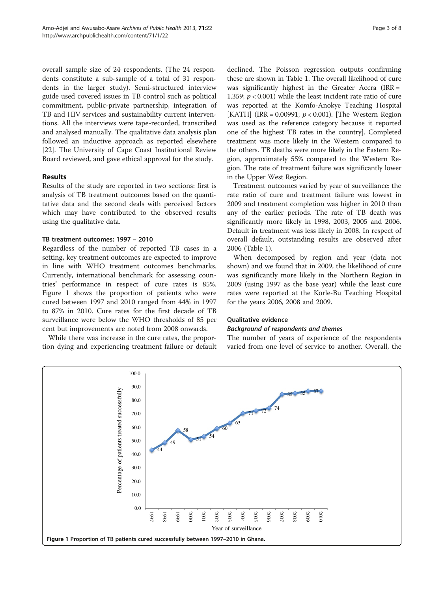overall sample size of 24 respondents. (The 24 respondents constitute a sub-sample of a total of 31 respondents in the larger study). Semi-structured interview guide used covered issues in TB control such as political commitment, public-private partnership, integration of TB and HIV services and sustainability current interventions. All the interviews were tape-recorded, transcribed and analysed manually. The qualitative data analysis plan followed an inductive approach as reported elsewhere [[22\]](#page-7-0). The University of Cape Coast Institutional Review Board reviewed, and gave ethical approval for the study.

#### Results

Results of the study are reported in two sections: first is analysis of TB treatment outcomes based on the quantitative data and the second deals with perceived factors which may have contributed to the observed results using the qualitative data.

#### TB treatment outcomes: 1997 – 2010

Regardless of the number of reported TB cases in a setting, key treatment outcomes are expected to improve in line with WHO treatment outcomes benchmarks. Currently, international benchmark for assessing countries' performance in respect of cure rates is 85%. Figure 1 shows the proportion of patients who were cured between 1997 and 2010 ranged from 44% in 1997 to 87% in 2010. Cure rates for the first decade of TB surveillance were below the WHO thresholds of 85 per cent but improvements are noted from 2008 onwards.

While there was increase in the cure rates, the proportion dying and experiencing treatment failure or default

declined. The Poisson regression outputs confirming these are shown in Table [1.](#page-3-0) The overall likelihood of cure was significantly highest in the Greater Accra (IRR = 1.359;  $p < 0.001$ ) while the least incident rate ratio of cure was reported at the Komfo-Anokye Teaching Hospital [KATH] (IRR = 0.00991;  $p < 0.001$ ). [The Western Region was used as the reference category because it reported one of the highest TB rates in the country]. Completed treatment was more likely in the Western compared to the others. TB deaths were more likely in the Eastern Region, approximately 55% compared to the Western Region. The rate of treatment failure was significantly lower in the Upper West Region.

Treatment outcomes varied by year of surveillance: the rate ratio of cure and treatment failure was lowest in 2009 and treatment completion was higher in 2010 than any of the earlier periods. The rate of TB death was significantly more likely in 1998, 2003, 2005 and 2006. Default in treatment was less likely in 2008. In respect of overall default, outstanding results are observed after 2006 (Table [1\)](#page-3-0).

When decomposed by region and year (data not shown) and we found that in 2009, the likelihood of cure was significantly more likely in the Northern Region in 2009 (using 1997 as the base year) while the least cure rates were reported at the Korle-Bu Teaching Hospital for the years 2006, 2008 and 2009.

## Qualitative evidence

#### Background of respondents and themes

The number of years of experience of the respondents varied from one level of service to another. Overall, the

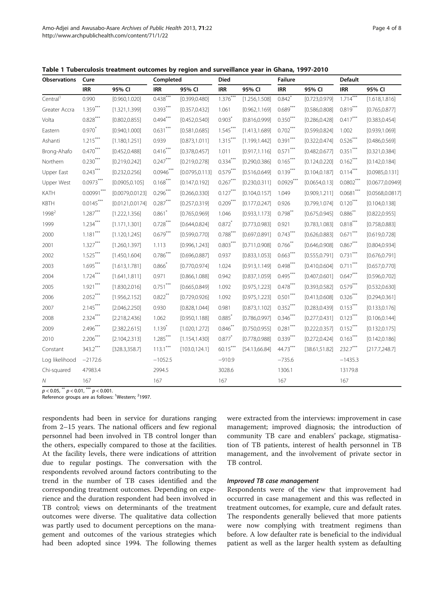| <b>Observations</b>  | Cure         |                  | Completed             |                 | <b>Died</b>          |                | <b>Failure</b>        |                | <b>Default</b> |                  |
|----------------------|--------------|------------------|-----------------------|-----------------|----------------------|----------------|-----------------------|----------------|----------------|------------------|
|                      | <b>IRR</b>   | 95% CI           | <b>IRR</b>            | 95% CI          | <b>IRR</b>           | 95% CI         | <b>IRR</b>            | 95% CI         | <b>IRR</b>     | 95% CI           |
| Central <sup>1</sup> | 0.990        | [0.960, 1.020]   | $0.438***$            | [0.399, 0.480]  | $1.376***$           | [1.256, 1.508] | $0.842$ <sup>*</sup>  | [0.723, 0.979] | $1.714***$     | [1.618, 1.816]   |
| Greater Accra        | $1.359***$   | [1.321, 1.399]   | $0.393***$            | [0.357, 0.432]  | 1.061                | [0.962, 1.169] | $0.689***$            | [0.586, 0.808] | $0.819***$     | [0.765, 0.877]   |
| Volta                | $0.828***$   | [0.802, 0.855]   | $0.494***$            | [0.452, 0.540]  | $0.903*$             | [0.816, 0.999] | $0.350***$            | [0.286, 0.428] | $0.417***$     | [0.383, 0.454]   |
| Eastern              | $0.970^{*}$  | [0.940, 1.000]   | $0.631***$            | [0.581, 0.685]  | $1.545***$           | [1.413, 1.689] | $0.702***$            | [0.599, 0.824] | 1.002          | [0.939, 1.069]   |
| Ashanti              | $1.215***$   | [1.180, 1.251]   | 0.939                 | [0.873, 1.011]  | $1.315$ **           | [1.199, 1.442] | $0.391***$            | [0.322, 0.474] | $0.526***$     | [0.486, 0.569]   |
| Brong-Ahafo          | $0.470***$   | [0.452, 0.488]   | $0.416***$            | [0.378, 0.457]  | 1.011                | [0.917, 1.116] | $0.571***$            | [0.482, 0.677] | $0.351***$     | [0.321, 0.384]   |
| Northern             | $0.230***$   | [0.219, 0.242]   | $0.247***$            | [0.219, 0.278]  | $0.334***$           | [0.290, 0.386] | $0.165***$            | [0.124, 0.220] | $0.162***$     | [0.142, 0.184]   |
| Upper East           | $0.243***$   | [0.232, 0.256]   | $0.0946***$           | [0.0795, 0.113] | $0.579***$           | [0.516, 0.649] | $0.139***$            | [0.104, 0.187] | $0.114***$     | [0.0985, 0.131]  |
| Upper West           | $0.0973***$  | [0.0905, 0.105]  | $0.168***$            | [0.147, 0.192]  | $0.267***$           | [0.230, 0.311] | $0.0929***$           | [0.0654, 0.13] | $0.0802***$    | [0.0677, 0.0949] |
| KATH                 | $0.00991***$ | [0.0079, 0.0123] | $0.296***$            | [0.266, 0.330]  | $0.127***$           | [0.104, 0.157] | 1.049                 | [0.909, 1.211] | $0.0681***$    | [0.0568, 0.0817] |
| <b>KBTH</b>          | $0.0145***$  | [0.0121, 0.0174] | $0.287***$            | [0.257, 0.319]  | $0.209***$           | [0.177, 0.247] | 0.926                 | [0.799, 1.074] | $0.120***$     | [0.104, 0.138]   |
| 1998 <sup>2</sup>    | $1.287***$   | [1.222, 1.356]   | 0.861                 | [0.765, 0.969]  | 1.046                | [0.933, 1.173] | $0.798***$            | [0.675, 0.945] | $0.886**$      | [0.822, 0.955]   |
| 1999                 | $1.234***$   | [1.171, 1.301]   | $0.728***$            | [0.644, 0.824]  | $0.872$ <sup>*</sup> | [0.773, 0.983] | 0.921                 | [0.783, 1.083] | $0.818***$     | [0.758, 0.883]   |
| 2000                 | $1.181***$   | [1.120, 1.245]   | $0.679***$            | [0.599, 0.770]  | $0.788***$           | [0.697, 0.891] | $0.743***$            | [0.626, 0.883] | $0.671***$     | [0.619, 0.728]   |
| 2001                 | $1.327***$   | [1.260, 1.397]   | 1.113                 | [0.996, 1.243]  | $0.803***$           | [0.711, 0.908] | $0.766$ <sup>**</sup> | [0.646, 0.908] | $0.867***$     | [0.804, 0.934]   |
| 2002                 | $1.525***$   | [1.450, 1.604]   | $0.786$ ***           | [0.696, 0.887]  | 0.937                | [0.833, 1.053] | $0.663***$            | [0.555, 0.791] | $0.731***$     | [0.676, 0.791]   |
| 2003                 | $1.695***$   | [1.613, 1.781]   | $0.866*$              | [0.770, 0.974]  | 1.024                | [0.913, 1.149] | $0.498***$            | [0.410, 0.604] | $0.711***$     | [0.657, 0.770]   |
| 2004                 | $1.724***$   | [1.641, 1.811]   | 0.971                 | [0.866, 1.088]  | 0.942                | [0.837, 1.059] | $0.495***$            | [0.407, 0.601] | $0.647***$     | [0.596, 0.702]   |
| 2005                 | $1.921***$   | [1.830, 2.016]   | $0.751***$            | [0.665, 0.849]  | 1.092                | [0.975, 1.223] | $0.478$ ***           | [0.393, 0.582] | $0.579***$     | [0.532, 0.630]   |
| 2006                 | $2.052***$   | [1.956, 2.152]   | $0.822$ <sup>**</sup> | [0.729, 0.926]  | 1.092                | [0.975, 1.223] | $0.501***$            | [0.413, 0.608] | $0.326***$     | [0.294, 0.361]   |
| 2007                 | $2.145***$   | [2.046, 2.250]   | 0.930                 | [0.828, 1.044]  | 0.981                | [0.873, 1.102] | $0.352***$            | [0.283, 0.439] | $0.153***$     | [0.133, 0.176]   |
| 2008                 | $2.324***$   | [2.218, 2.436]   | 1.062                 | [0.950, 1.188]  | 0.885                | [0.786, 0.997] | $0.346***$            | [0.277, 0.431] | $0.123***$     | [0.106, 0.144]   |
| 2009                 | $2.496***$   | [2.382, 2.615]   | $1.139*$              | [1.020, 1.272]  | $0.846*$             | [0.750, 0.955] | $0.281***$            | [0.222, 0.357] | $0.152***$     | [0.132, 0.175]   |
| 2010                 | $2.206***$   | [2.104, 2.313]   | $1.285***$            | [1.154, 1.430]  | $0.877$ <sup>*</sup> | [0.778, 0.988] | $0.339***$            | [0.272, 0.424] | $0.163***$     | [0.142, 0.186]   |
| Constant             | $343.2$ ***  | [328.3, 358.7]   | $113.1***$            | [103.0, 124.1]  | $60.15***$           | [54.13, 66.84] | $44.73***$            | [38.61, 51.82] | $232.7***$     | [217.7, 248.7]   |
| Log likelihood       | $-2172.6$    |                  | $-1052.5$             |                 | $-910.9$             |                | $-735.6$              |                | $-1435.3$      |                  |
| Chi-squared          | 47983.4      |                  | 2994.5                |                 | 3028.6               |                | 1306.1                |                | 13179.8        |                  |
| Ν                    | 167          |                  | 167                   |                 | 167                  |                | 167                   |                | 167            |                  |

<span id="page-3-0"></span>Table 1 Tuberculosis treatment outcomes by region and surveillance year in Ghana, 1997-2010

 $p < 0.05$ , \*\*  $p < 0.01$ , \*\*\*  $p < 0.001$ .

Reference groups are as follows: <sup>1</sup>Western; <sup>2</sup>1997.

respondents had been in service for durations ranging from 2–15 years. The national officers and few regional personnel had been involved in TB control longer than the others, especially compared to those at the facilities. At the facility levels, there were indications of attrition due to regular postings. The conversation with the respondents revolved around factors contributing to the trend in the number of TB cases identified and the corresponding treatment outcomes. Depending on experience and the duration respondent had been involved in TB control; views on determinants of the treatment outcomes were diverse. The qualitative data collection was partly used to document perceptions on the management and outcomes of the various strategies which had been adopted since 1994. The following themes

were extracted from the interviews: improvement in case management; improved diagnosis; the introduction of community TB care and enablers' package, stigmatisation of TB patients, interest of health personnel in TB management, and the involvement of private sector in TB control.

# Improved TB case management

Respondents were of the view that improvement had occurred in case management and this was reflected in treatment outcomes, for example, cure and default rates. The respondents generally believed that more patients were now complying with treatment regimens than before. A low defaulter rate is beneficial to the individual patient as well as the larger health system as defaulting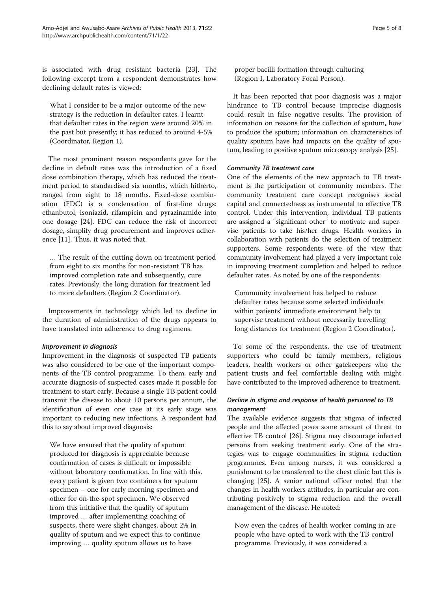is associated with drug resistant bacteria [\[23](#page-7-0)]. The following excerpt from a respondent demonstrates how declining default rates is viewed:

What I consider to be a major outcome of the new strategy is the reduction in defaulter rates. I learnt that defaulter rates in the region were around 20% in the past but presently; it has reduced to around 4-5% (Coordinator, Region 1).

The most prominent reason respondents gave for the decline in default rates was the introduction of a fixed dose combination therapy, which has reduced the treatment period to standardised six months, which hitherto, ranged from eight to 18 months. Fixed-dose combination (FDC) is a condensation of first-line drugs: ethanbutol, isoniazid, rifampicin and pyrazinamide into one dosage [\[24](#page-7-0)]. FDC can reduce the risk of incorrect dosage, simplify drug procurement and improves adherence [\[11](#page-7-0)]. Thus, it was noted that:

… The result of the cutting down on treatment period from eight to six months for non-resistant TB has improved completion rate and subsequently, cure rates. Previously, the long duration for treatment led to more defaulters (Region 2 Coordinator).

Improvements in technology which led to decline in the duration of administration of the drugs appears to have translated into adherence to drug regimens.

# Improvement in diagnosis

Improvement in the diagnosis of suspected TB patients was also considered to be one of the important components of the TB control programme. To them, early and accurate diagnosis of suspected cases made it possible for treatment to start early. Because a single TB patient could transmit the disease to about 10 persons per annum, the identification of even one case at its early stage was important to reducing new infections. A respondent had this to say about improved diagnosis:

We have ensured that the quality of sputum produced for diagnosis is appreciable because confirmation of cases is difficult or impossible without laboratory confirmation. In line with this, every patient is given two containers for sputum specimen – one for early morning specimen and other for on-the-spot specimen. We observed from this initiative that the quality of sputum improved … after implementing coaching of suspects, there were slight changes, about 2% in quality of sputum and we expect this to continue improving … quality sputum allows us to have

It has been reported that poor diagnosis was a major hindrance to TB control because imprecise diagnosis could result in false negative results. The provision of information on reasons for the collection of sputum, how to produce the sputum; information on characteristics of quality sputum have had impacts on the quality of sputum, leading to positive sputum microscopy analysis [\[25\]](#page-7-0).

#### Community TB treatment care

One of the elements of the new approach to TB treatment is the participation of community members. The community treatment care concept recognises social capital and connectedness as instrumental to effective TB control. Under this intervention, individual TB patients are assigned a "significant other" to motivate and supervise patients to take his/her drugs. Health workers in collaboration with patients do the selection of treatment supporters. Some respondents were of the view that community involvement had played a very important role in improving treatment completion and helped to reduce defaulter rates. As noted by one of the respondents:

Community involvement has helped to reduce defaulter rates because some selected individuals within patients' immediate environment help to supervise treatment without necessarily travelling long distances for treatment (Region 2 Coordinator).

To some of the respondents, the use of treatment supporters who could be family members, religious leaders, health workers or other gatekeepers who the patient trusts and feel comfortable dealing with might have contributed to the improved adherence to treatment.

# Decline in stigma and response of health personnel to TB management

The available evidence suggests that stigma of infected people and the affected poses some amount of threat to effective TB control [\[26](#page-7-0)]. Stigma may discourage infected persons from seeking treatment early. One of the strategies was to engage communities in stigma reduction programmes. Even among nurses, it was considered a punishment to be transferred to the chest clinic but this is changing [\[25\]](#page-7-0). A senior national officer noted that the changes in health workers attitudes, in particular are contributing positively to stigma reduction and the overall management of the disease. He noted:

Now even the cadres of health worker coming in are people who have opted to work with the TB control programme. Previously, it was considered a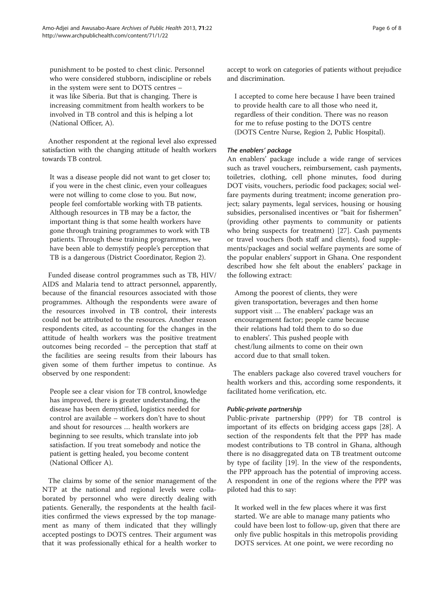punishment to be posted to chest clinic. Personnel who were considered stubborn, indiscipline or rebels in the system were sent to DOTS centres – it was like Siberia. But that is changing. There is increasing commitment from health workers to be involved in TB control and this is helping a lot (National Officer, A).

Another respondent at the regional level also expressed satisfaction with the changing attitude of health workers towards TB control.

It was a disease people did not want to get closer to; if you were in the chest clinic, even your colleagues were not willing to come close to you. But now, people feel comfortable working with TB patients. Although resources in TB may be a factor, the important thing is that some health workers have gone through training programmes to work with TB patients. Through these training programmes, we have been able to demystify people's perception that TB is a dangerous (District Coordinator, Region 2).

Funded disease control programmes such as TB, HIV/ AIDS and Malaria tend to attract personnel, apparently, because of the financial resources associated with those programmes. Although the respondents were aware of the resources involved in TB control, their interests could not be attributed to the resources. Another reason respondents cited, as accounting for the changes in the attitude of health workers was the positive treatment outcomes being recorded – the perception that staff at the facilities are seeing results from their labours has given some of them further impetus to continue. As observed by one respondent:

People see a clear vision for TB control, knowledge has improved, there is greater understanding, the disease has been demystified, logistics needed for control are available – workers don't have to shout and shout for resources … health workers are beginning to see results, which translate into job satisfaction. If you treat somebody and notice the patient is getting healed, you become content (National Officer A).

The claims by some of the senior management of the NTP at the national and regional levels were collaborated by personnel who were directly dealing with patients. Generally, the respondents at the health facilities confirmed the views expressed by the top management as many of them indicated that they willingly accepted postings to DOTS centres. Their argument was that it was professionally ethical for a health worker to accept to work on categories of patients without prejudice and discrimination.

I accepted to come here because I have been trained to provide health care to all those who need it, regardless of their condition. There was no reason for me to refuse posting to the DOTS centre (DOTS Centre Nurse, Region 2, Public Hospital).

# The enablers' package

An enablers' package include a wide range of services such as travel vouchers, reimbursement, cash payments, toiletries, clothing, cell phone minutes, food during DOT visits, vouchers, periodic food packages; social welfare payments during treatment; income generation project; salary payments, legal services, housing or housing subsidies, personalised incentives or "bait for fishermen" (providing other payments to community or patients who bring suspects for treatment) [[27\]](#page-7-0). Cash payments or travel vouchers (both staff and clients), food supplements/packages and social welfare payments are some of the popular enablers' support in Ghana. One respondent described how she felt about the enablers' package in the following extract:

Among the poorest of clients, they were given transportation, beverages and then home support visit … The enablers' package was an encouragement factor; people came because their relations had told them to do so due to enablers'. This pushed people with chest/lung ailments to come on their own accord due to that small token.

The enablers package also covered travel vouchers for health workers and this, according some respondents, it facilitated home verification, etc.

#### Public-private partnership

Public-private partnership (PPP) for TB control is important of its effects on bridging access gaps [\[28](#page-7-0)]. A section of the respondents felt that the PPP has made modest contributions to TB control in Ghana, although there is no disaggregated data on TB treatment outcome by type of facility [[19\]](#page-7-0). In the view of the respondents, the PPP approach has the potential of improving access. A respondent in one of the regions where the PPP was piloted had this to say:

It worked well in the few places where it was first started. We are able to manage many patients who could have been lost to follow-up, given that there are only five public hospitals in this metropolis providing DOTS services. At one point, we were recording no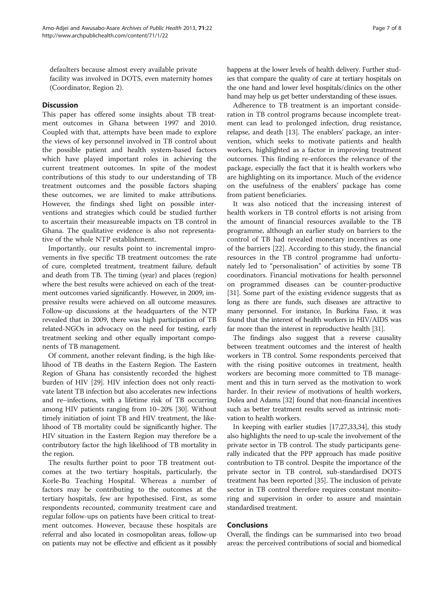defaulters because almost every available private facility was involved in DOTS, even maternity homes (Coordinator, Region 2).

## **Discussion**

This paper has offered some insights about TB treatment outcomes in Ghana between 1997 and 2010. Coupled with that, attempts have been made to explore the views of key personnel involved in TB control about the possible patient and health system-based factors which have played important roles in achieving the current treatment outcomes. In spite of the modest contributions of this study to our understanding of TB treatment outcomes and the possible factors shaping these outcomes, we are limited to make attributions. However, the findings shed light on possible interventions and strategies which could be studied further to ascertain their measureable impacts on TB control in Ghana. The qualitative evidence is also not representative of the whole NTP establishment.

Importantly, our results point to incremental improvements in five specific TB treatment outcomes: the rate of cure, completed treatment, treatment failure, default and death from TB. The timing (year) and places (region) where the best results were achieved on each of the treatment outcomes varied significantly. However, in 2009, impressive results were achieved on all outcome measures. Follow-up discussions at the headquarters of the NTP revealed that in 2009, there was high participation of TB related-NGOs in advocacy on the need for testing, early treatment seeking and other equally important components of TB management.

Of comment, another relevant finding, is the high likelihood of TB deaths in the Eastern Region. The Eastern Region of Ghana has consistently recorded the highest burden of HIV [\[29\]](#page-7-0). HIV infection does not only reactivate latent TB infection but also accelerates new infections and re–infections, with a lifetime risk of TB occurring among HIV patients ranging from 10–20% [\[30\]](#page-7-0). Without timely initiation of joint TB and HIV treatment, the likelihood of TB mortality could be significantly higher. The HIV situation in the Eastern Region may therefore be a contributory factor the high likelihood of TB mortality in the region.

The results further point to poor TB treatment outcomes at the two tertiary hospitals, particularly, the Korle-Bu Teaching Hospital. Whereas a number of factors may be contributing to the outcomes at the tertiary hospitals, few are hypothesised. First, as some respondents recounted, community treatment care and regular follow-ups on patients have been critical to treatment outcomes. However, because these hospitals are referral and also located in cosmopolitan areas, follow-up on patients may not be effective and efficient as it possibly

happens at the lower levels of health delivery. Further studies that compare the quality of care at tertiary hospitals on the one hand and lower level hospitals/clinics on the other hand may help us get better understanding of these issues.

Adherence to TB treatment is an important consideration in TB control programs because incomplete treatment can lead to prolonged infection, drug resistance, relapse, and death [[13\]](#page-7-0). The enablers' package, an intervention, which seeks to motivate patients and health workers, highlighted as a factor in improving treatment outcomes. This finding re-enforces the relevance of the package, especially the fact that it is health workers who are highlighting on its importance. Much of the evidence on the usefulness of the enablers' package has come from patient beneficiaries.

It was also noticed that the increasing interest of health workers in TB control efforts is not arising from the amount of financial resources available to the TB programme, although an earlier study on barriers to the control of TB had revealed monetary incentives as one of the barriers [[22\]](#page-7-0). According to this study, the financial resources in the TB control programme had unfortunately led to "personalisation" of activities by some TB coordinators. Financial motivations for health personnel on programmed diseases can be counter-productive [[31\]](#page-7-0). Some part of the existing evidence suggests that as long as there are funds, such diseases are attractive to many personnel. For instance, In Burkina Faso, it was found that the interest of health workers in HIV/AIDS was far more than the interest in reproductive health [\[31\]](#page-7-0).

The findings also suggest that a reverse causality between treatment outcomes and the interest of health workers in TB control. Some respondents perceived that with the rising positive outcomes in treatment, health workers are becoming more committed to TB management and this in turn served as the motivation to work harder. In their review of motivations of health workers, Dolea and Adams [\[32](#page-7-0)] found that non-financial incentives such as better treatment results served as intrinsic motivation to health workers.

In keeping with earlier studies [\[17,27,33,34\]](#page-7-0), this study also highlights the need to up-scale the involvement of the private sector in TB control. The study participants generally indicated that the PPP approach has made positive contribution to TB control. Despite the importance of the private sector in TB control, sub-standardised DOTS treatment has been reported [\[35\]](#page-7-0). The inclusion of private sector in TB control therefore requires constant monitoring and supervision in order to assure and maintain standardised treatment.

#### Conclusions

Overall, the findings can be summarised into two broad areas: the perceived contributions of social and biomedical